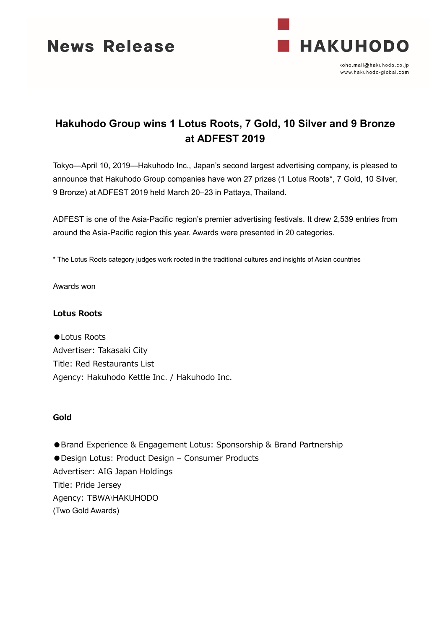



koho.mail@hakuhodo.co.jp www.hakuhodo-global.com

# **Hakuhodo Group wins 1 Lotus Roots, 7 Gold, 10 Silver and 9 Bronze at ADFEST 2019**

Tokyo—April 10, 2019—Hakuhodo Inc., Japan's second largest advertising company, is pleased to announce that Hakuhodo Group companies have won 27 prizes (1 Lotus Roots\*, 7 Gold, 10 Silver, 9 Bronze) at ADFEST 2019 held March 20–23 in Pattaya, Thailand.

ADFEST is one of the Asia-Pacific region's premier advertising festivals. It drew 2,539 entries from around the Asia-Pacific region this year. Awards were presented in 20 categories.

\* The Lotus Roots category judges work rooted in the traditional cultures and insights of Asian countries

Awards won

# **Lotus Roots**

● Lotus Roots Advertiser: Takasaki City Title: Red Restaurants List Agency: Hakuhodo Kettle Inc. / Hakuhodo Inc.

### **Gold**

● Brand Experience & Engagement Lotus: Sponsorship & Brand Partnership ●Design Lotus: Product Design – Consumer Products Advertiser: AIG Japan Holdings Title: Pride Jersey Agency: TBWA\HAKUHODO (Two Gold Awards)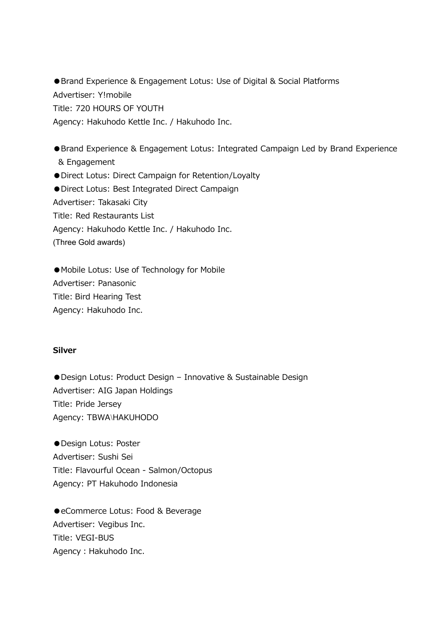● Brand Experience & Engagement Lotus: Use of Digital & Social Platforms Advertiser: Y!mobile Title: 720 HOURS OF YOUTH Agency: Hakuhodo Kettle Inc. / Hakuhodo Inc.

●Brand Experience & Engagement Lotus: Integrated Campaign Led by Brand Experience & Engagement ●Direct Lotus: Direct Campaign for Retention/Loyalty ●Direct Lotus: Best Integrated Direct Campaign Advertiser: Takasaki City Title: Red Restaurants List Agency: Hakuhodo Kettle Inc. / Hakuhodo Inc.

(Three Gold awards)

●Mobile Lotus: Use of Technology for Mobile Advertiser: Panasonic Title: Bird Hearing Test Agency: Hakuhodo Inc.

### **Silver**

●Design Lotus: Product Design – Innovative & Sustainable Design Advertiser: AIG Japan Holdings Title: Pride Jersey Agency: TBWA\HAKUHODO

●Design Lotus: Poster Advertiser: Sushi Sei Title: Flavourful Ocean - Salmon/Octopus Agency: PT Hakuhodo Indonesia

●eCommerce Lotus: Food & Beverage Advertiser: Vegibus Inc. Title: VEGI-BUS Agency: Hakuhodo Inc.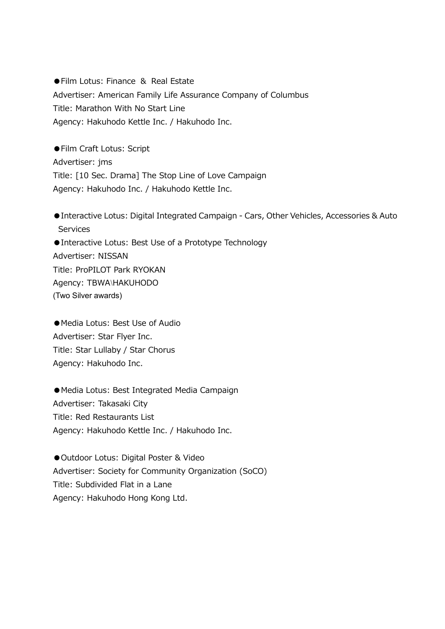●Film Lotus: Finance & Real Estate Advertiser: American Family Life Assurance Company of Columbus Title: Marathon With No Start Line Agency: Hakuhodo Kettle Inc. / Hakuhodo Inc.

●Film Craft Lotus: Script Advertiser: jms Title: [10 Sec. Drama] The Stop Line of Love Campaign Agency: Hakuhodo Inc. / Hakuhodo Kettle Inc.

●Interactive Lotus: Digital Integrated Campaign - Cars, Other Vehicles, Accessories & Auto **Services** ●Interactive Lotus: Best Use of a Prototype Technology Advertiser: NISSAN Title: ProPILOT Park RYOKAN Agency: TBWA\HAKUHODO (Two Silver awards)

●Media Lotus: Best Use of Audio Advertiser: Star Flyer Inc. Title: Star Lullaby / Star Chorus Agency: Hakuhodo Inc.

●Media Lotus: Best Integrated Media Campaign Advertiser: Takasaki City Title: Red Restaurants List Agency: Hakuhodo Kettle Inc. / Hakuhodo Inc.

● Outdoor Lotus: Digital Poster & Video Advertiser: Society for Community Organization (SoCO) Title: Subdivided Flat in a Lane Agency: Hakuhodo Hong Kong Ltd.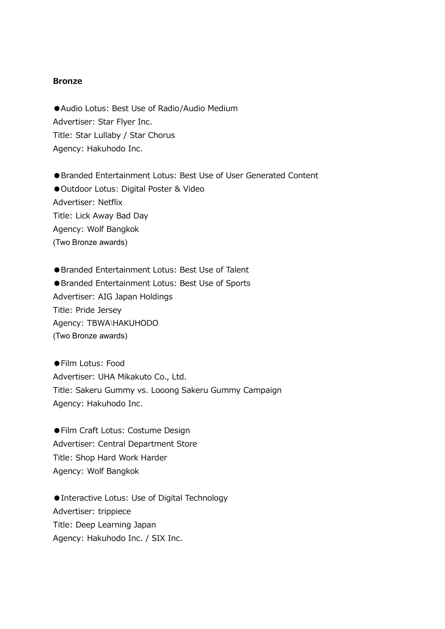# **Bronze**

●Audio Lotus: Best Use of Radio/Audio Medium Advertiser: Star Flyer Inc. Title: Star Lullaby / Star Chorus Agency: Hakuhodo Inc.

●Branded Entertainment Lotus: Best Use of User Generated Content ● Outdoor Lotus: Digital Poster & Video Advertiser: Netflix Title: Lick Away Bad Day Agency: Wolf Bangkok (Two Bronze awards)

●Branded Entertainment Lotus: Best Use of Talent ●Branded Entertainment Lotus: Best Use of Sports Advertiser: AIG Japan Holdings Title: Pride Jersey Agency: TBWA\HAKUHODO (Two Bronze awards)

●Film Lotus: Food Advertiser: UHA Mikakuto Co., Ltd. Title: Sakeru Gummy vs. Looong Sakeru Gummy Campaign Agency: Hakuhodo Inc.

●Film Craft Lotus: Costume Design Advertiser: Central Department Store Title: Shop Hard Work Harder Agency: Wolf Bangkok

●Interactive Lotus: Use of Digital Technology Advertiser: trippiece Title: Deep Learning Japan Agency: Hakuhodo Inc. / SIX Inc.